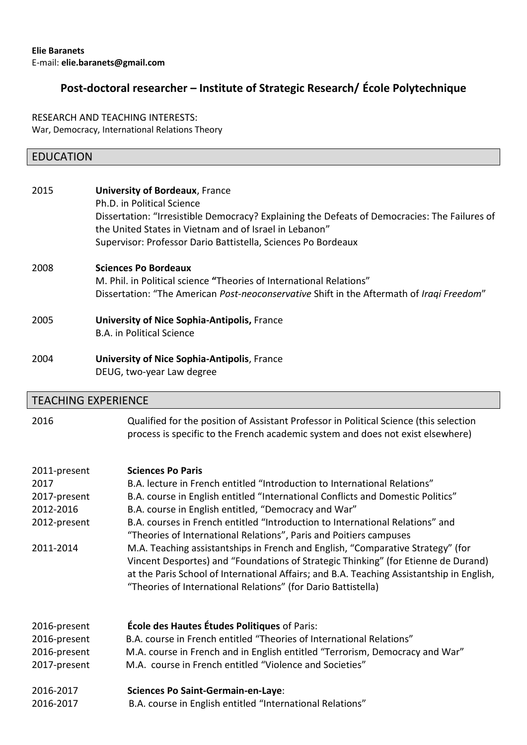# **Post-doctoral researcher – Institute of Strategic Research/ École Polytechnique**

RESEARCH AND TEACHING INTERESTS: War, Democracy, International Relations Theory

## EDUCATION

| 2015 | <b>University of Bordeaux, France</b><br>Ph.D. in Political Science<br>Dissertation: "Irresistible Democracy? Explaining the Defeats of Democracies: The Failures of<br>the United States in Vietnam and of Israel in Lebanon"<br>Supervisor: Professor Dario Battistella, Sciences Po Bordeaux |
|------|-------------------------------------------------------------------------------------------------------------------------------------------------------------------------------------------------------------------------------------------------------------------------------------------------|
| 2008 | <b>Sciences Po Bordeaux</b><br>M. Phil. in Political science "Theories of International Relations"<br>Dissertation: "The American Post-neoconservative Shift in the Aftermath of Iragi Freedom"                                                                                                 |
| 2005 | <b>University of Nice Sophia-Antipolis, France</b><br>B.A. in Political Science                                                                                                                                                                                                                 |
| 2004 | <b>University of Nice Sophia-Antipolis, France</b><br>DEUG, two-year Law degree                                                                                                                                                                                                                 |

# TEACHING EXPERIENCE

2016 Qualified for the position of Assistant Professor in Political Science (this selection process is specific to the French academic system and does not exist elsewhere)

| 2011-present | <b>Sciences Po Paris</b>                                                                                                                                                                                                                                                                                                            |
|--------------|-------------------------------------------------------------------------------------------------------------------------------------------------------------------------------------------------------------------------------------------------------------------------------------------------------------------------------------|
| 2017         | B.A. lecture in French entitled "Introduction to International Relations"                                                                                                                                                                                                                                                           |
| 2017-present | B.A. course in English entitled "International Conflicts and Domestic Politics"                                                                                                                                                                                                                                                     |
| 2012-2016    | B.A. course in English entitled, "Democracy and War"                                                                                                                                                                                                                                                                                |
| 2012-present | B.A. courses in French entitled "Introduction to International Relations" and<br>"Theories of International Relations", Paris and Poitiers campuses                                                                                                                                                                                 |
| 2011-2014    | M.A. Teaching assistantships in French and English, "Comparative Strategy" (for<br>Vincent Desportes) and "Foundations of Strategic Thinking" (for Etienne de Durand)<br>at the Paris School of International Affairs; and B.A. Teaching Assistantship in English,<br>"Theories of International Relations" (for Dario Battistella) |
| 2016-present | <b>École des Hautes Études Politiques of Paris:</b>                                                                                                                                                                                                                                                                                 |
| 2016-present | B.A. course in French entitled "Theories of International Relations"                                                                                                                                                                                                                                                                |
| 2016-present | M.A. course in French and in English entitled "Terrorism, Democracy and War"                                                                                                                                                                                                                                                        |
| 2017-present | M.A. course in French entitled "Violence and Societies"                                                                                                                                                                                                                                                                             |
| 2016-2017    | Sciences Po Saint-Germain-en-Laye:                                                                                                                                                                                                                                                                                                  |
| 2016-2017    | B.A. course in English entitled "International Relations"                                                                                                                                                                                                                                                                           |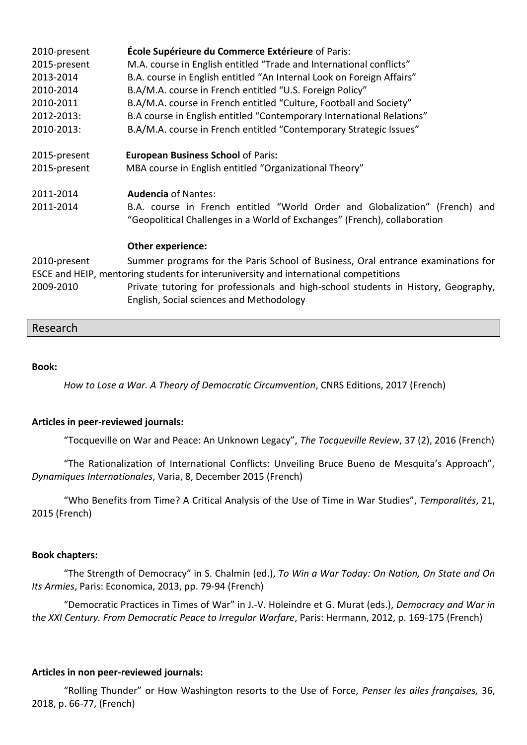| École Supérieure du Commerce Extérieure of Paris:<br>M.A. course in English entitled "Trade and International conflicts"<br>B.A. course in English entitled "An Internal Look on Foreign Affairs"<br>B.A/M.A. course in French entitled "U.S. Foreign Policy"<br>B.A/M.A. course in French entitled "Culture, Football and Society"<br>B.A course in English entitled "Contemporary International Relations"<br>B.A/M.A. course in French entitled "Contemporary Strategic Issues" |
|------------------------------------------------------------------------------------------------------------------------------------------------------------------------------------------------------------------------------------------------------------------------------------------------------------------------------------------------------------------------------------------------------------------------------------------------------------------------------------|
| <b>European Business School of Paris:</b><br>MBA course in English entitled "Organizational Theory"                                                                                                                                                                                                                                                                                                                                                                                |
| <b>Audencia of Nantes:</b><br>B.A. course in French entitled "World Order and Globalization" (French) and<br>"Geopolitical Challenges in a World of Exchanges" (French), collaboration                                                                                                                                                                                                                                                                                             |
| Other experience:<br>Summer programs for the Paris School of Business, Oral entrance examinations for<br>ESCE and HEIP, mentoring students for interuniversity and international competitions<br>Private tutoring for professionals and high-school students in History, Geography,<br>English, Social sciences and Methodology                                                                                                                                                    |
|                                                                                                                                                                                                                                                                                                                                                                                                                                                                                    |

### Research

#### **Book:**

*How to Lose a War. A Theory of Democratic Circumvention*, CNRS Editions, 2017 (French)

#### **Articles in peer-reviewed journals:**

"Tocqueville on War and Peace: An Unknown Legacy", *The Tocqueville Review*, 37 (2), 2016 (French)

"The Rationalization of International Conflicts: Unveiling Bruce Bueno de Mesquita's Approach", *Dynamiques Internationales*, Varia, 8, December 2015 (French)

"Who Benefits from Time? A Critical Analysis of the Use of Time in War Studies", *Temporalités*, 21, 2015 (French)

#### **Book chapters:**

"The Strength of Democracy" in S. Chalmin (ed.), *To Win a War Today: On Nation, On State and On Its Armies*, Paris: Economica, 2013, pp. 79-94 (French)

"Democratic Practices in Times of War" in J.-V. Holeindre et G. Murat (eds.), *Democracy and War in the XXI Century. From Democratic Peace to Irregular Warfare*, Paris: Hermann, 2012, p. 169-175 (French)

#### **Articles in non peer-reviewed journals:**

"Rolling Thunder" or How Washington resorts to the Use of Force, *Penser les ailes françaises,* 36, 2018, p. 66-77, (French)